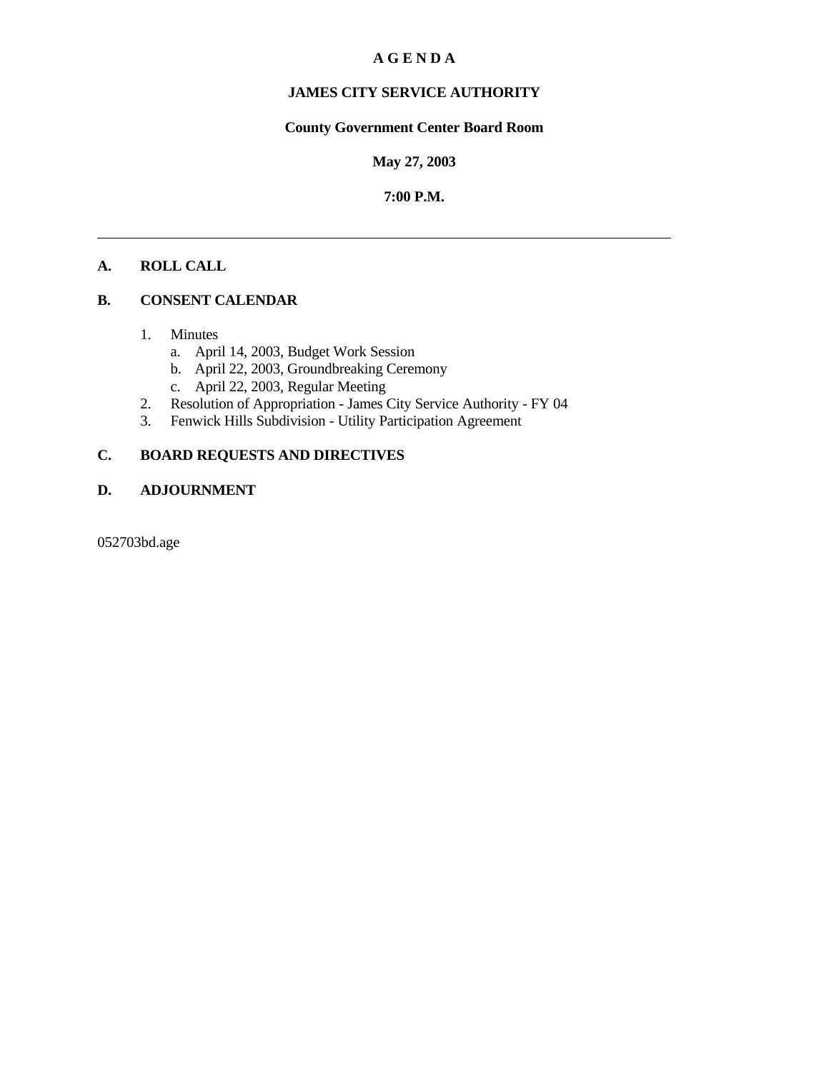## **A G E N D A**

# **JAMES CITY SERVICE AUTHORITY**

# **County Government Center Board Room**

#### **May 27, 2003**

#### **7:00 P.M.**

# **A. ROLL CALL**

# **B. CONSENT CALENDAR**

- 1. Minutes
	- a. April 14, 2003, Budget Work Session
	- b. April 22, 2003, Groundbreaking Ceremony
	- c. April 22, 2003, Regular Meeting
- 2. Resolution of Appropriation James City Service Authority FY 04
- 3. Fenwick Hills Subdivision Utility Participation Agreement

# **C. BOARD REQUESTS AND DIRECTIVES**

#### **D. ADJOURNMENT**

052703bd.age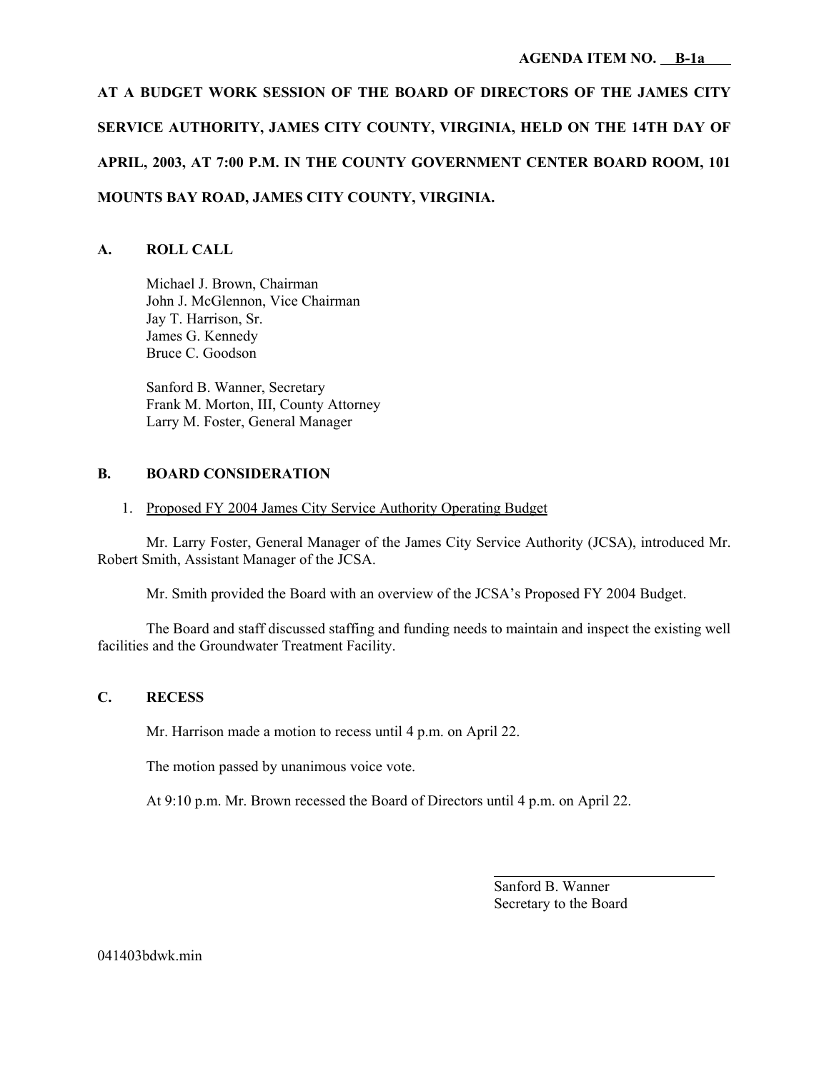**AT A BUDGET WORK SESSION OF THE BOARD OF DIRECTORS OF THE JAMES CITY SERVICE AUTHORITY, JAMES CITY COUNTY, VIRGINIA, HELD ON THE 14TH DAY OF APRIL, 2003, AT 7:00 P.M. IN THE COUNTY GOVERNMENT CENTER BOARD ROOM, 101 MOUNTS BAY ROAD, JAMES CITY COUNTY, VIRGINIA.**

# **A. ROLL CALL**

Michael J. Brown, Chairman John J. McGlennon, Vice Chairman Jay T. Harrison, Sr. James G. Kennedy Bruce C. Goodson

Sanford B. Wanner, Secretary Frank M. Morton, III, County Attorney Larry M. Foster, General Manager

#### **B. BOARD CONSIDERATION**

#### 1. Proposed FY 2004 James City Service Authority Operating Budget

Mr. Larry Foster, General Manager of the James City Service Authority (JCSA), introduced Mr. Robert Smith, Assistant Manager of the JCSA.

Mr. Smith provided the Board with an overview of the JCSA's Proposed FY 2004 Budget.

The Board and staff discussed staffing and funding needs to maintain and inspect the existing well facilities and the Groundwater Treatment Facility.

#### **C. RECESS**

Mr. Harrison made a motion to recess until 4 p.m. on April 22.

The motion passed by unanimous voice vote.

At 9:10 p.m. Mr. Brown recessed the Board of Directors until 4 p.m. on April 22.

Sanford B. Wanner Secretary to the Board

l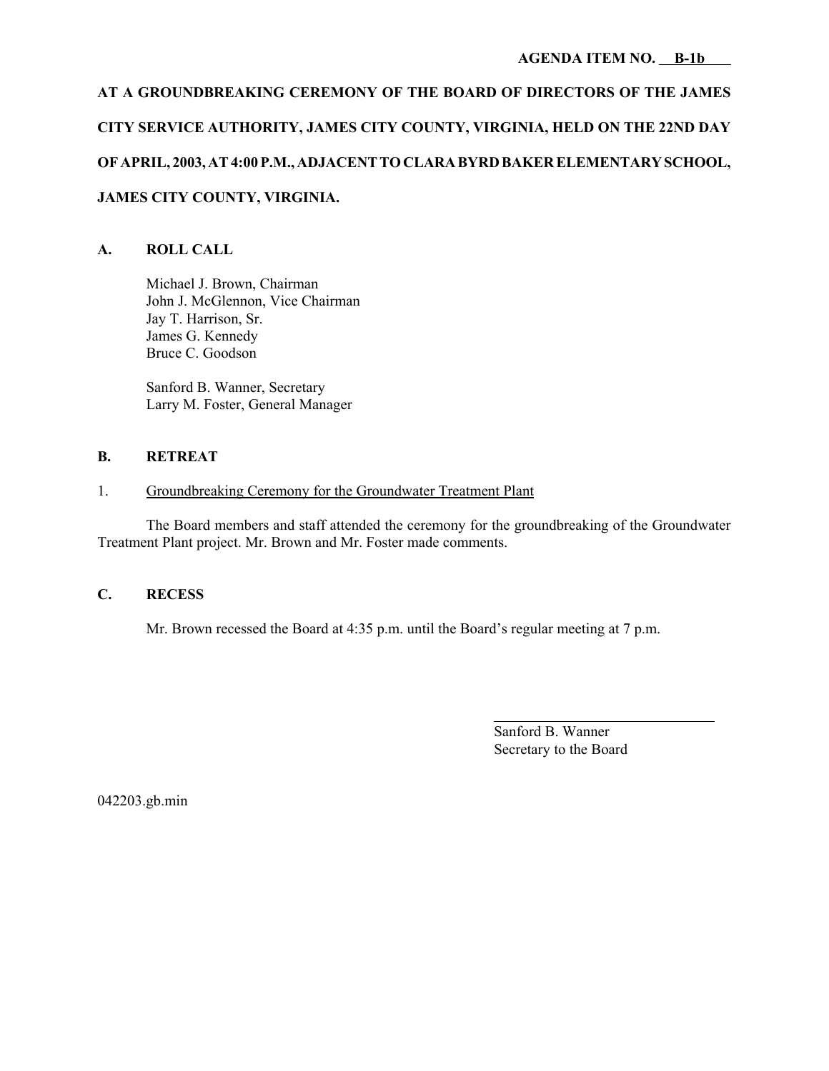# **AT A GROUNDBREAKING CEREMONY OF THE BOARD OF DIRECTORS OF THE JAMES CITY SERVICE AUTHORITY, JAMES CITY COUNTY, VIRGINIA, HELD ON THE 22ND DAY OF APRIL, 2003, AT 4:00 P.M., ADJACENT TO CLARA BYRD BAKER ELEMENTARY SCHOOL, JAMES CITY COUNTY, VIRGINIA.**

# **A. ROLL CALL**

Michael J. Brown, Chairman John J. McGlennon, Vice Chairman Jay T. Harrison, Sr. James G. Kennedy Bruce C. Goodson

Sanford B. Wanner, Secretary Larry M. Foster, General Manager

# **B. RETREAT**

# 1. Groundbreaking Ceremony for the Groundwater Treatment Plant

The Board members and staff attended the ceremony for the groundbreaking of the Groundwater Treatment Plant project. Mr. Brown and Mr. Foster made comments.

# **C. RECESS**

Mr. Brown recessed the Board at 4:35 p.m. until the Board's regular meeting at 7 p.m.

Sanford B. Wanner Secretary to the Board

l

042203.gb.min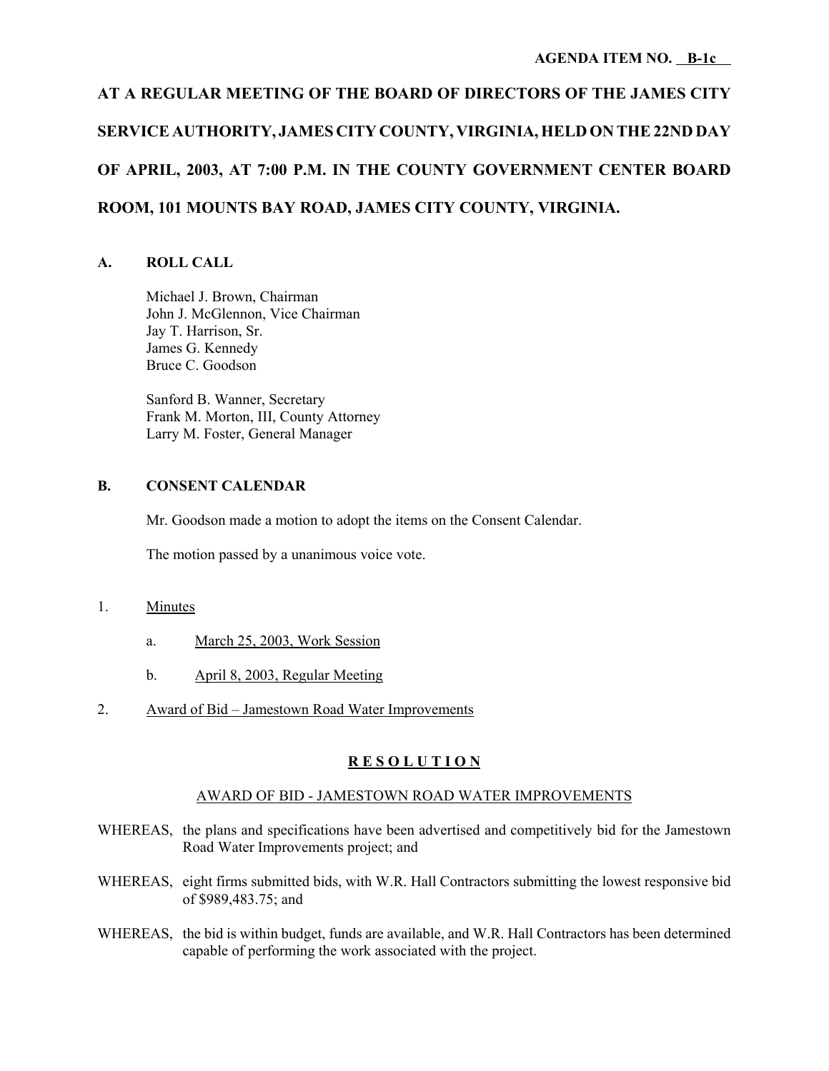# **AT A REGULAR MEETING OF THE BOARD OF DIRECTORS OF THE JAMES CITY SERVICE AUTHORITY, JAMES CITY COUNTY, VIRGINIA, HELD ON THE 22ND DAY OF APRIL, 2003, AT 7:00 P.M. IN THE COUNTY GOVERNMENT CENTER BOARD ROOM, 101 MOUNTS BAY ROAD, JAMES CITY COUNTY, VIRGINIA.**

#### **A. ROLL CALL**

Michael J. Brown, Chairman John J. McGlennon, Vice Chairman Jay T. Harrison, Sr. James G. Kennedy Bruce C. Goodson

Sanford B. Wanner, Secretary Frank M. Morton, III, County Attorney Larry M. Foster, General Manager

#### **B. CONSENT CALENDAR**

Mr. Goodson made a motion to adopt the items on the Consent Calendar.

The motion passed by a unanimous voice vote.

#### 1. Minutes

- a. March 25, 2003, Work Session
- b. April 8, 2003, Regular Meeting
- 2. Award of Bid Jamestown Road Water Improvements

# **R E S O L U T I O N**

#### AWARD OF BID - JAMESTOWN ROAD WATER IMPROVEMENTS

- WHEREAS, the plans and specifications have been advertised and competitively bid for the Jamestown Road Water Improvements project; and
- WHEREAS, eight firms submitted bids, with W.R. Hall Contractors submitting the lowest responsive bid of \$989,483.75; and
- WHEREAS, the bid is within budget, funds are available, and W.R. Hall Contractors has been determined capable of performing the work associated with the project.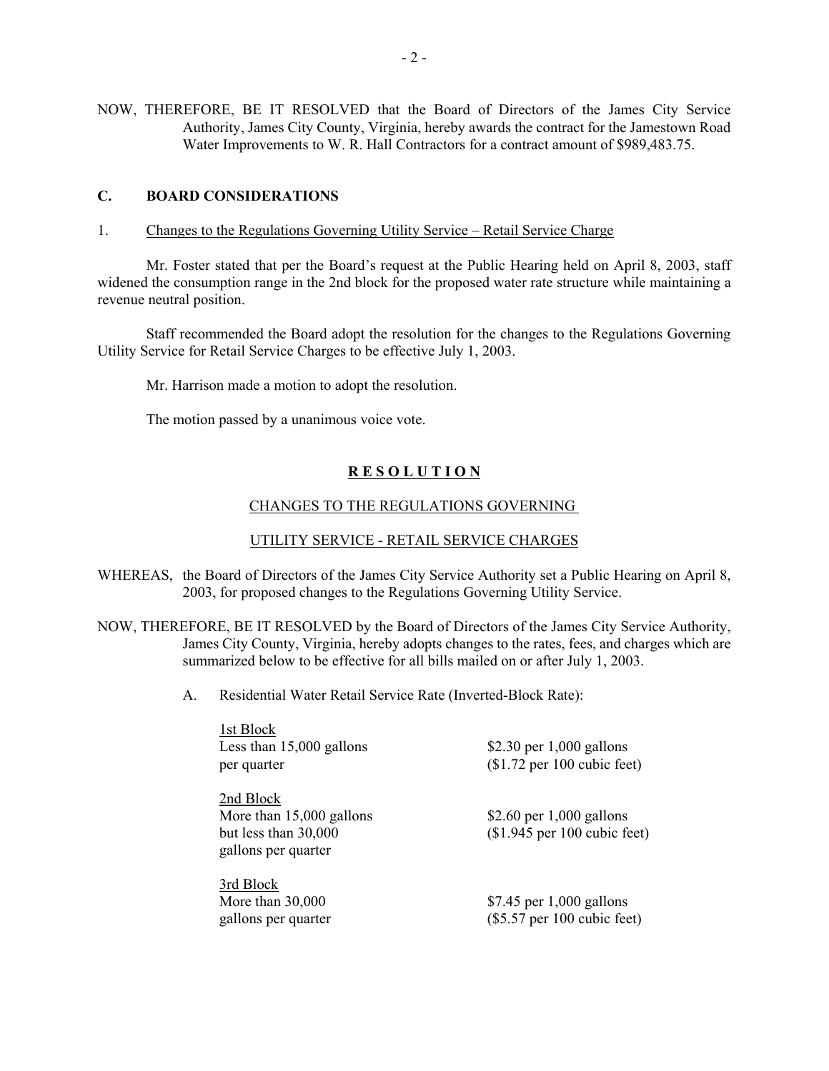NOW, THEREFORE, BE IT RESOLVED that the Board of Directors of the James City Service Authority, James City County, Virginia, hereby awards the contract for the Jamestown Road Water Improvements to W. R. Hall Contractors for a contract amount of \$989,483.75.

#### **C. BOARD CONSIDERATIONS**

1. Changes to the Regulations Governing Utility Service – Retail Service Charge

Mr. Foster stated that per the Board's request at the Public Hearing held on April 8, 2003, staff widened the consumption range in the 2nd block for the proposed water rate structure while maintaining a revenue neutral position.

Staff recommended the Board adopt the resolution for the changes to the Regulations Governing Utility Service for Retail Service Charges to be effective July 1, 2003.

Mr. Harrison made a motion to adopt the resolution.

The motion passed by a unanimous voice vote.

#### **R E S O L U T I O N**

#### CHANGES TO THE REGULATIONS GOVERNING

#### UTILITY SERVICE - RETAIL SERVICE CHARGES

- WHEREAS, the Board of Directors of the James City Service Authority set a Public Hearing on April 8, 2003, for proposed changes to the Regulations Governing Utility Service.
- NOW, THEREFORE, BE IT RESOLVED by the Board of Directors of the James City Service Authority, James City County, Virginia, hereby adopts changes to the rates, fees, and charges which are summarized below to be effective for all bills mailed on or after July 1, 2003.
	- A. Residential Water Retail Service Rate (Inverted-Block Rate):

1st Block Less than  $15,000$  gallons  $$2.30$  per 1,000 gallons

2nd Block More than 15,000 gallons \$2.60 per 1,000 gallons but less than 30,000 (\$1.945 per 100 cubic feet) gallons per quarter

3rd Block

per quarter (\$1.72 per 100 cubic feet)

More than 30,000 \$7.45 per 1,000 gallons gallons per quarter (\$5.57 per 100 cubic feet)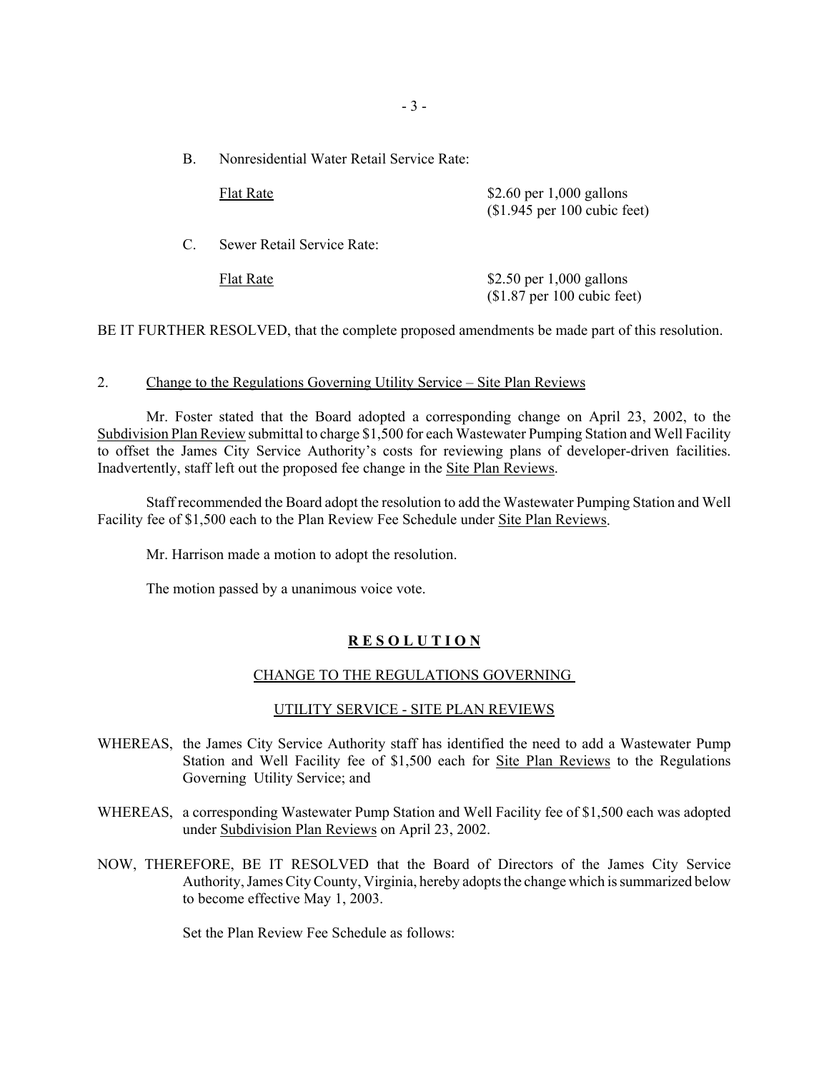B. Nonresidential Water Retail Service Rate:

|               | <b>Flat Rate</b>           | \$2.60 per $1,000$ gallons<br>$($1.945$ per 100 cubic feet) |
|---------------|----------------------------|-------------------------------------------------------------|
| $\mathcal{C}$ | Sewer Retail Service Rate: |                                                             |
|               | <b>Flat Rate</b>           | \$2.50 per $1,000$ gallons<br>$$1.87$ per 100 cubic feet)   |

BE IT FURTHER RESOLVED, that the complete proposed amendments be made part of this resolution.

#### 2. Change to the Regulations Governing Utility Service – Site Plan Reviews

Mr. Foster stated that the Board adopted a corresponding change on April 23, 2002, to the Subdivision Plan Review submittal to charge \$1,500 for each Wastewater Pumping Station and Well Facility to offset the James City Service Authority's costs for reviewing plans of developer-driven facilities. Inadvertently, staff left out the proposed fee change in the Site Plan Reviews.

Staff recommended the Board adopt the resolution to add the Wastewater Pumping Station and Well Facility fee of \$1,500 each to the Plan Review Fee Schedule under Site Plan Reviews.

Mr. Harrison made a motion to adopt the resolution.

The motion passed by a unanimous voice vote.

# **R E S O L U T I O N**

#### CHANGE TO THE REGULATIONS GOVERNING

#### UTILITY SERVICE - SITE PLAN REVIEWS

- WHEREAS, the James City Service Authority staff has identified the need to add a Wastewater Pump Station and Well Facility fee of \$1,500 each for Site Plan Reviews to the Regulations Governing Utility Service; and
- WHEREAS, a corresponding Wastewater Pump Station and Well Facility fee of \$1,500 each was adopted under Subdivision Plan Reviews on April 23, 2002.
- NOW, THEREFORE, BE IT RESOLVED that the Board of Directors of the James City Service Authority, James City County, Virginia, hereby adopts the change which is summarized below to become effective May 1, 2003.

Set the Plan Review Fee Schedule as follows: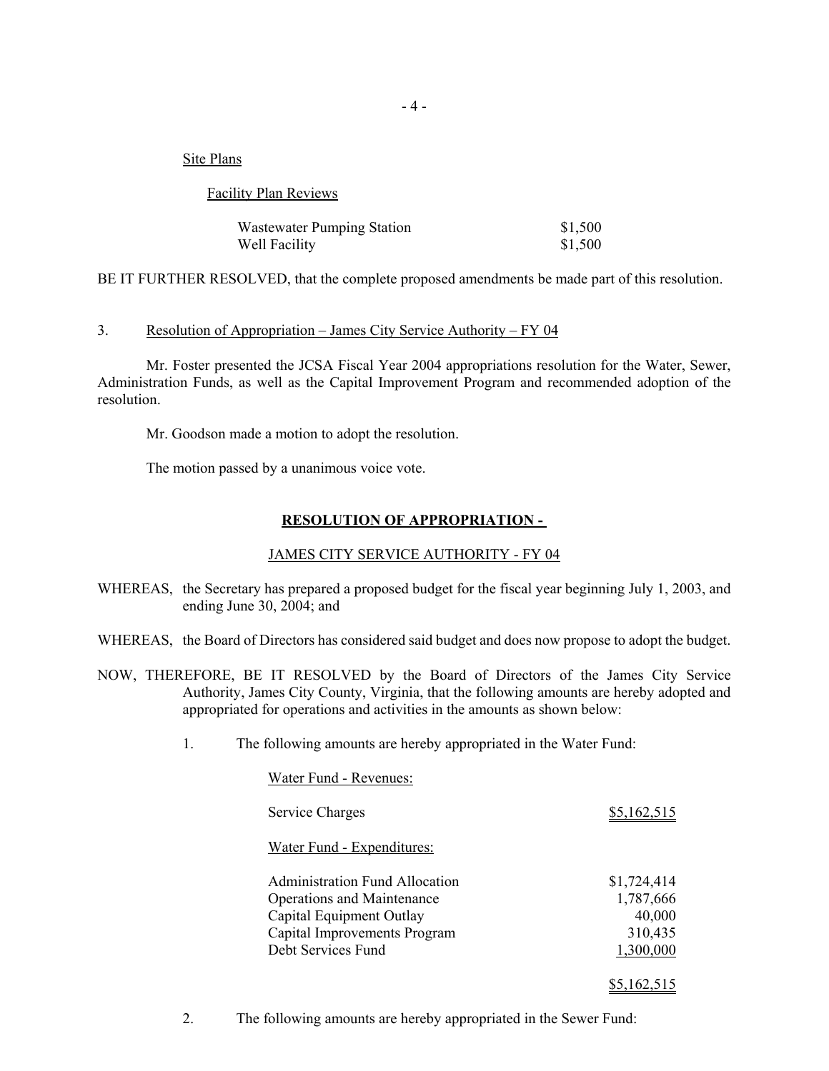Site Plans

Facility Plan Reviews

| <b>Wastewater Pumping Station</b> | \$1,500 |
|-----------------------------------|---------|
| Well Facility                     | \$1,500 |

BE IT FURTHER RESOLVED, that the complete proposed amendments be made part of this resolution.

#### 3. Resolution of Appropriation – James City Service Authority – FY 04

Mr. Foster presented the JCSA Fiscal Year 2004 appropriations resolution for the Water, Sewer, Administration Funds, as well as the Capital Improvement Program and recommended adoption of the resolution.

Mr. Goodson made a motion to adopt the resolution.

The motion passed by a unanimous voice vote.

## **RESOLUTION OF APPROPRIATION -**

#### JAMES CITY SERVICE AUTHORITY - FY 04

- WHEREAS, the Secretary has prepared a proposed budget for the fiscal year beginning July 1, 2003, and ending June 30, 2004; and
- WHEREAS, the Board of Directors has considered said budget and does now propose to adopt the budget.
- NOW, THEREFORE, BE IT RESOLVED by the Board of Directors of the James City Service Authority, James City County, Virginia, that the following amounts are hereby adopted and appropriated for operations and activities in the amounts as shown below:
	- 1. The following amounts are hereby appropriated in the Water Fund:

| Water Fund - Revenues:                |             |
|---------------------------------------|-------------|
| Service Charges                       | \$5,162,515 |
| Water Fund - Expenditures:            |             |
| <b>Administration Fund Allocation</b> | \$1,724,414 |
| <b>Operations and Maintenance</b>     | 1,787,666   |
| Capital Equipment Outlay              | 40,000      |
| Capital Improvements Program          | 310,435     |
| Debt Services Fund                    | 1,300,000   |
|                                       | \$5,162,515 |

2. The following amounts are hereby appropriated in the Sewer Fund: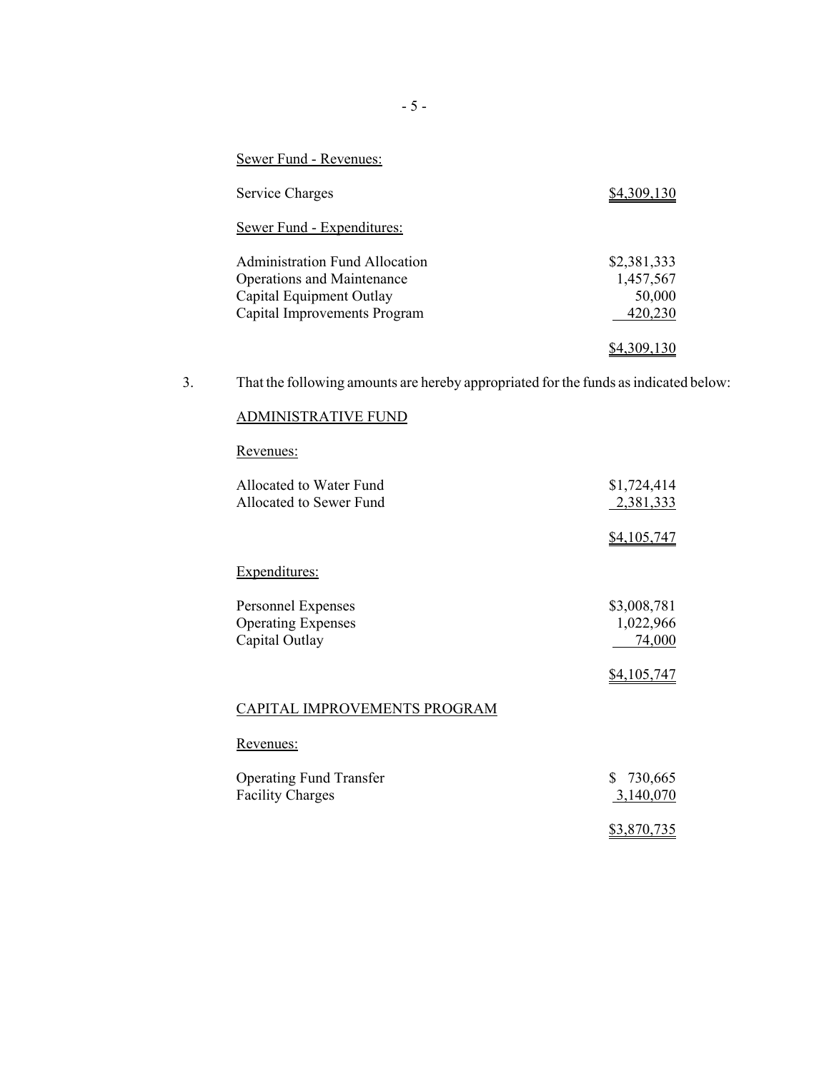| Sewer Fund - Revenues:                                                                                                          |                                               |
|---------------------------------------------------------------------------------------------------------------------------------|-----------------------------------------------|
| Service Charges                                                                                                                 | \$4.309.130                                   |
| Sewer Fund - Expenditures:                                                                                                      |                                               |
| Administration Fund Allocation<br><b>Operations and Maintenance</b><br>Capital Equipment Outlay<br>Capital Improvements Program | \$2,381,333<br>1,457,567<br>50,000<br>420,230 |
|                                                                                                                                 | \$4.309.130                                   |

3. That the following amounts are hereby appropriated for the funds as indicated below:

# ADMINISTRATIVE FUND

# Revenues:

| Allocated to Water Fund                                           | \$1,724,414                                       |
|-------------------------------------------------------------------|---------------------------------------------------|
| Allocated to Sewer Fund                                           | 2,381,333                                         |
|                                                                   | <u>\$4,105,747</u>                                |
| Expenditures:                                                     |                                                   |
| Personnel Expenses<br><b>Operating Expenses</b><br>Capital Outlay | \$3,008,781<br>1,022,966<br>74,000<br>\$4,105,747 |
| CAPITAL IMPROVEMENTS PROGRAM                                      |                                                   |
| <u>Revenues:</u>                                                  |                                                   |
| <b>Operating Fund Transfer</b><br><b>Facility Charges</b>         | S<br>730,665<br>3,140,070                         |
|                                                                   | \$3,870,735                                       |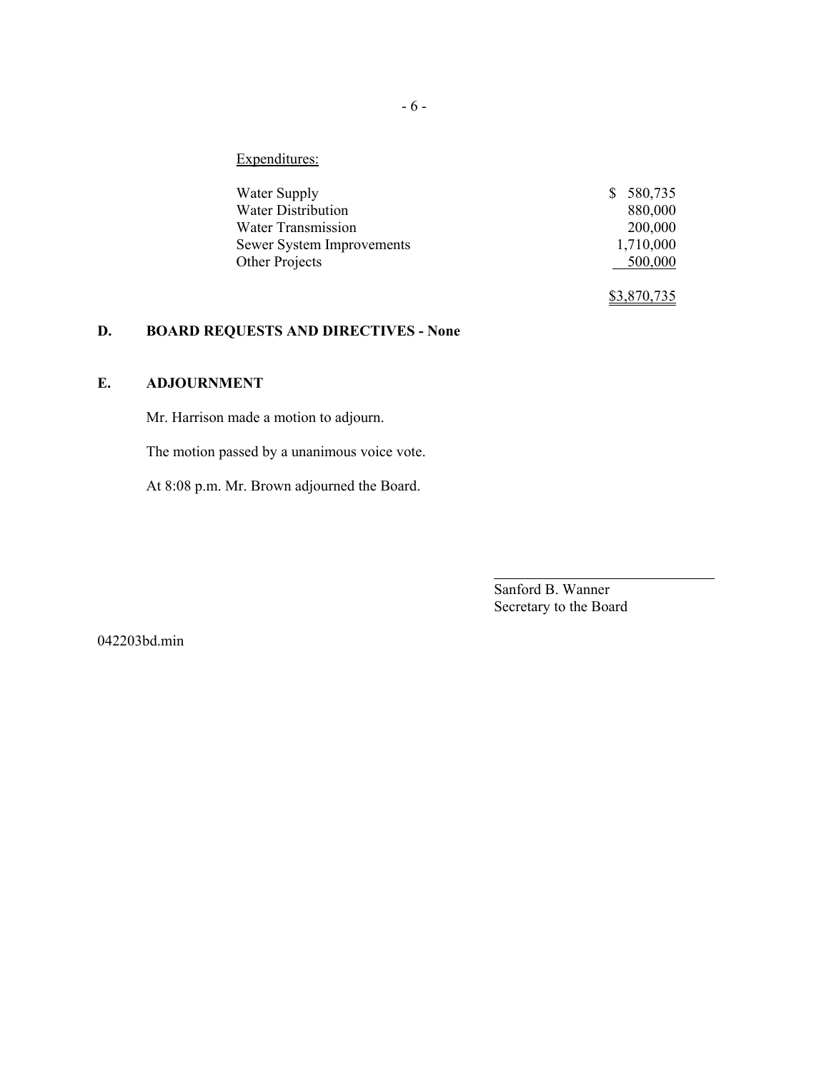Expenditures:

| Water Supply              | 580,735     |
|---------------------------|-------------|
| <b>Water Distribution</b> | 880,000     |
| <b>Water Transmission</b> | 200,000     |
| Sewer System Improvements | 1,710,000   |
| Other Projects            | 500,000     |
|                           | \$3,870,735 |

# **D. BOARD REQUESTS AND DIRECTIVES - None**

# **E. ADJOURNMENT**

Mr. Harrison made a motion to adjourn.

The motion passed by a unanimous voice vote.

At 8:08 p.m. Mr. Brown adjourned the Board.

Sanford B. Wanner Secretary to the Board

042203bd.min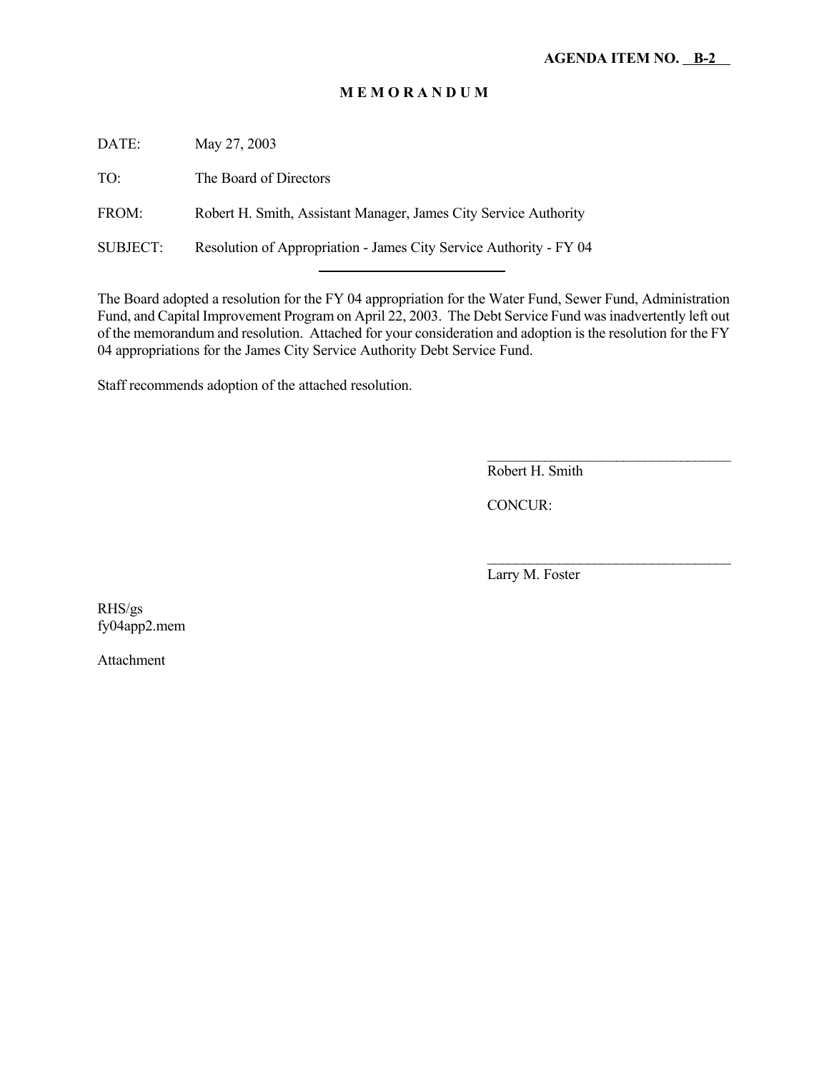# **M E M O R A N D U M**

DATE: May 27, 2003

TO: The Board of Directors

FROM: Robert H. Smith, Assistant Manager, James City Service Authority

SUBJECT: Resolution of Appropriation - James City Service Authority - FY 04

l

The Board adopted a resolution for the FY 04 appropriation for the Water Fund, Sewer Fund, Administration Fund, and Capital Improvement Program on April 22, 2003. The Debt Service Fund was inadvertently left out of the memorandum and resolution. Attached for your consideration and adoption is the resolution for the FY 04 appropriations for the James City Service Authority Debt Service Fund.

Staff recommends adoption of the attached resolution.

 $\overline{\phantom{a}}$  , where  $\overline{\phantom{a}}$  , where  $\overline{\phantom{a}}$  , where  $\overline{\phantom{a}}$ Robert H. Smith

CONCUR:

Larry M. Foster

 $\mathcal{L}_\text{max}$ 

RHS/gs fy04app2.mem

Attachment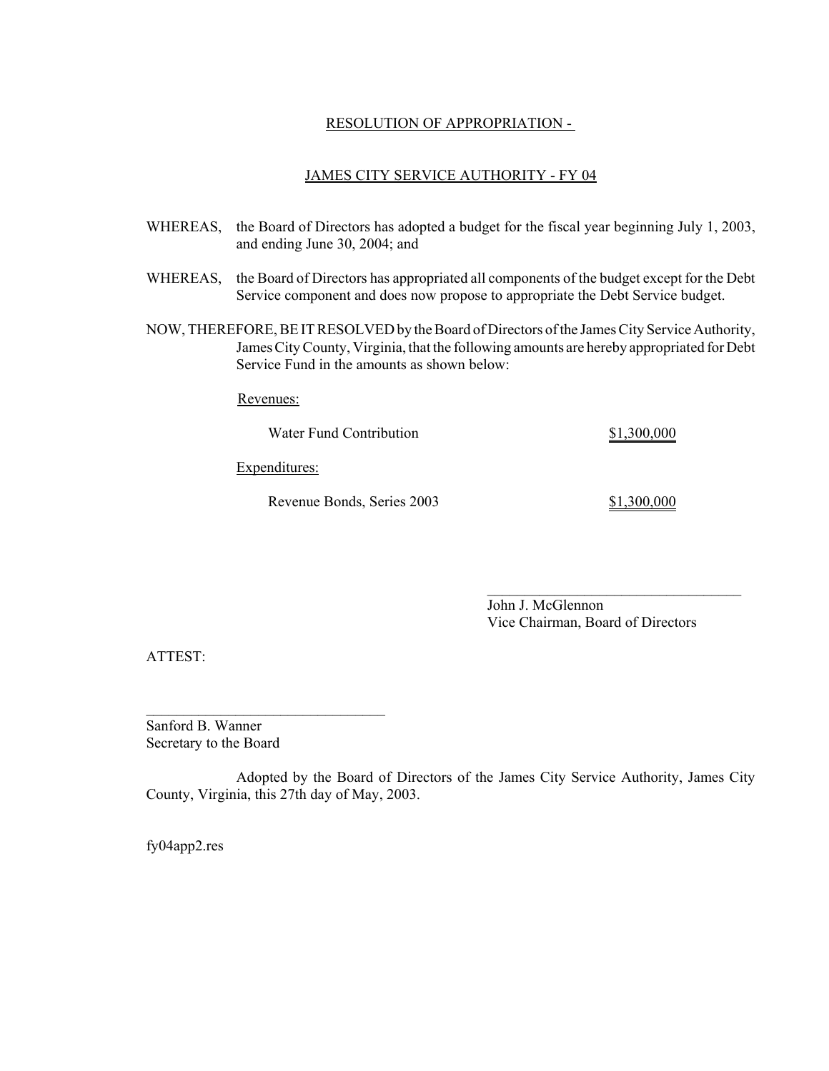#### RESOLUTION OF APPROPRIATION -

#### JAMES CITY SERVICE AUTHORITY - FY 04

- WHEREAS, the Board of Directors has adopted a budget for the fiscal year beginning July 1, 2003, and ending June 30, 2004; and
- WHEREAS, the Board of Directors has appropriated all components of the budget except for the Debt Service component and does now propose to appropriate the Debt Service budget.
- NOW, THEREFORE, BE IT RESOLVED by the Board of Directors of the James City Service Authority, James City County, Virginia, that the following amounts are hereby appropriated for Debt Service Fund in the amounts as shown below:

Revenues:

Water Fund Contribution \$1,300,000

Expenditures:

Revenue Bonds, Series 2003 \$1,300,000

John J. McGlennon Vice Chairman, Board of Directors

ATTEST:

Sanford B. Wanner Secretary to the Board

 $\mathcal{L}_\text{max}$ 

Adopted by the Board of Directors of the James City Service Authority, James City County, Virginia, this 27th day of May, 2003.

fy04app2.res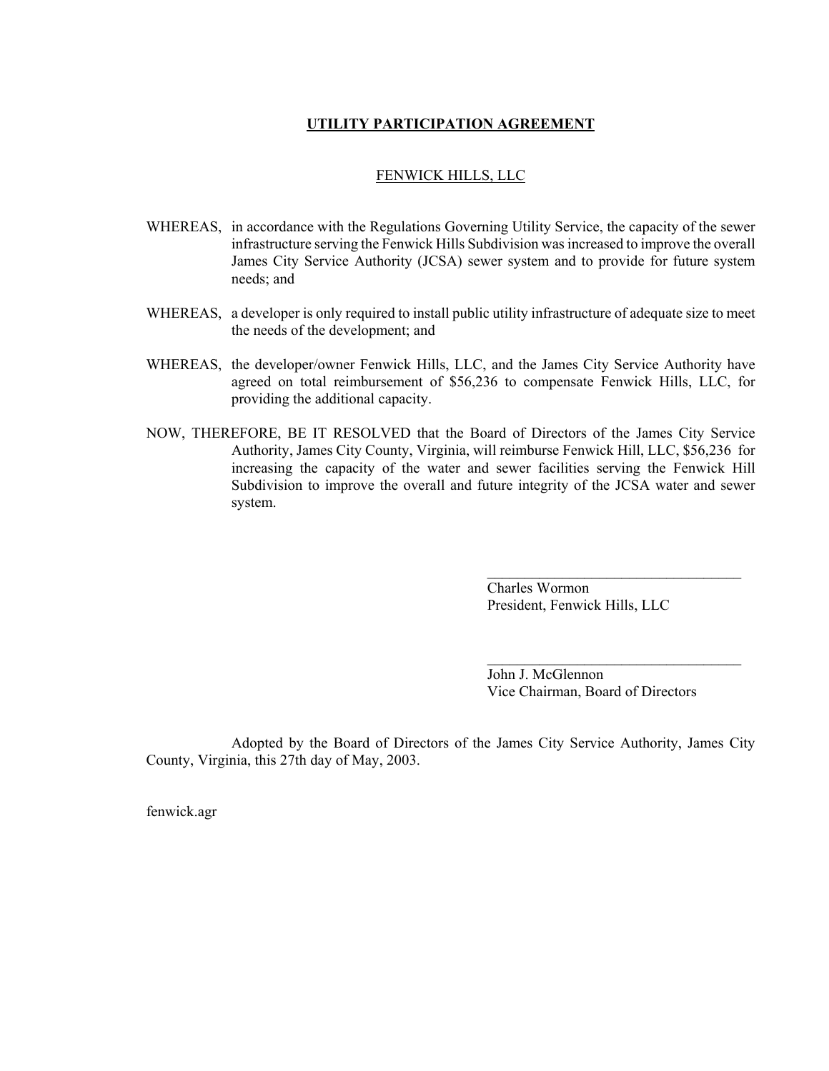#### **UTILITY PARTICIPATION AGREEMENT**

#### FENWICK HILLS, LLC

- WHEREAS, in accordance with the Regulations Governing Utility Service, the capacity of the sewer infrastructure serving the Fenwick Hills Subdivision was increased to improve the overall James City Service Authority (JCSA) sewer system and to provide for future system needs; and
- WHEREAS, a developer is only required to install public utility infrastructure of adequate size to meet the needs of the development; and
- WHEREAS, the developer/owner Fenwick Hills, LLC, and the James City Service Authority have agreed on total reimbursement of \$56,236 to compensate Fenwick Hills, LLC, for providing the additional capacity.
- NOW, THEREFORE, BE IT RESOLVED that the Board of Directors of the James City Service Authority, James City County, Virginia, will reimburse Fenwick Hill, LLC, \$56,236 for increasing the capacity of the water and sewer facilities serving the Fenwick Hill Subdivision to improve the overall and future integrity of the JCSA water and sewer system.

Charles Wormon President, Fenwick Hills, LLC

 $\mathcal{L}_\text{max}$ 

 $\overline{\phantom{a}}$  , where  $\overline{\phantom{a}}$  , where  $\overline{\phantom{a}}$  , where  $\overline{\phantom{a}}$ 

John J. McGlennon Vice Chairman, Board of Directors

Adopted by the Board of Directors of the James City Service Authority, James City County, Virginia, this 27th day of May, 2003.

fenwick.agr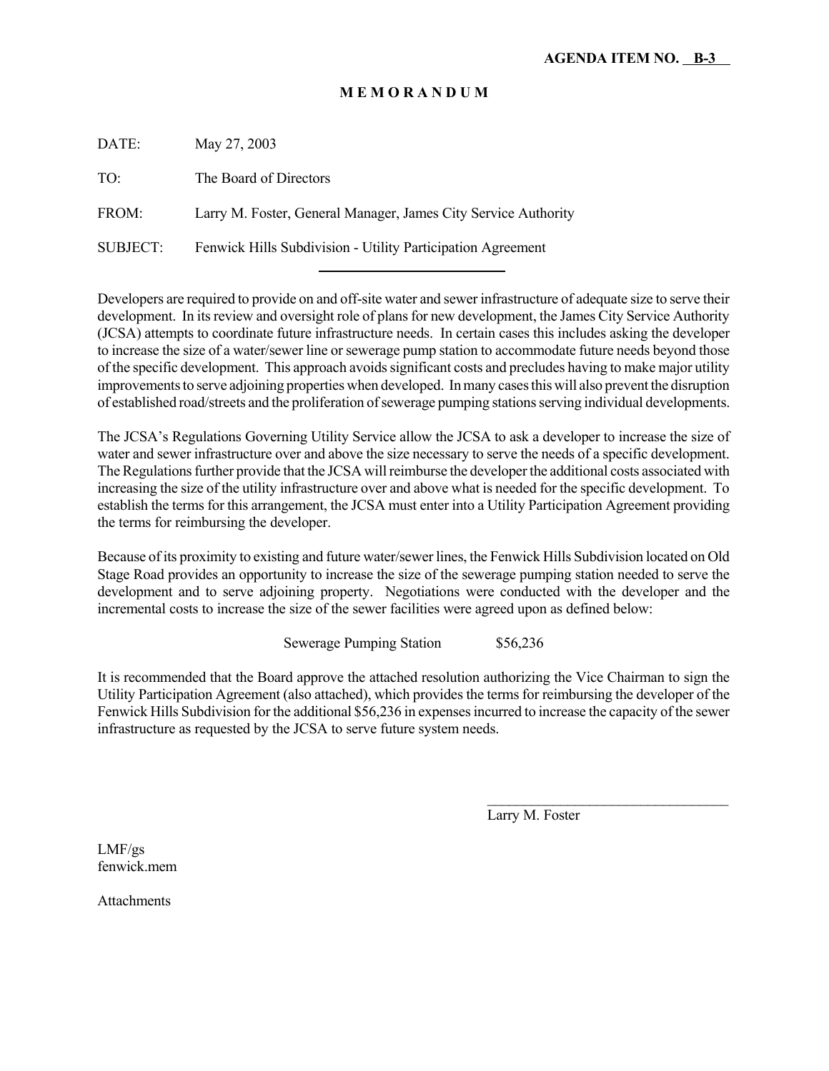# **M E M O R A N D U M**

| DATE:    | May 27, 2003                                                   |
|----------|----------------------------------------------------------------|
| TO:      | The Board of Directors                                         |
| FROM:    | Larry M. Foster, General Manager, James City Service Authority |
| SUBJECT: | Fenwick Hills Subdivision - Utility Participation Agreement    |

l

Developers are required to provide on and off-site water and sewer infrastructure of adequate size to serve their development. In its review and oversight role of plans for new development, the James City Service Authority (JCSA) attempts to coordinate future infrastructure needs. In certain cases this includes asking the developer to increase the size of a water/sewer line or sewerage pump station to accommodate future needs beyond those of the specific development. This approach avoids significant costs and precludes having to make major utility improvements to serve adjoining properties when developed. In many cases this will also prevent the disruption of established road/streets and the proliferation of sewerage pumping stations serving individual developments.

The JCSA's Regulations Governing Utility Service allow the JCSA to ask a developer to increase the size of water and sewer infrastructure over and above the size necessary to serve the needs of a specific development. The Regulations further provide that the JCSA will reimburse the developer the additional costs associated with increasing the size of the utility infrastructure over and above what is needed for the specific development. To establish the terms for this arrangement, the JCSA must enter into a Utility Participation Agreement providing the terms for reimbursing the developer.

Because of its proximity to existing and future water/sewer lines, the Fenwick Hills Subdivision located on Old Stage Road provides an opportunity to increase the size of the sewerage pumping station needed to serve the development and to serve adjoining property. Negotiations were conducted with the developer and the incremental costs to increase the size of the sewer facilities were agreed upon as defined below:

Sewerage Pumping Station \$56,236

It is recommended that the Board approve the attached resolution authorizing the Vice Chairman to sign the Utility Participation Agreement (also attached), which provides the terms for reimbursing the developer of the Fenwick Hills Subdivision for the additional \$56,236 in expenses incurred to increase the capacity of the sewer infrastructure as requested by the JCSA to serve future system needs.

Larry M. Foster

 $\mathcal{L}_\text{max}$ 

LMF/gs fenwick.mem

**Attachments**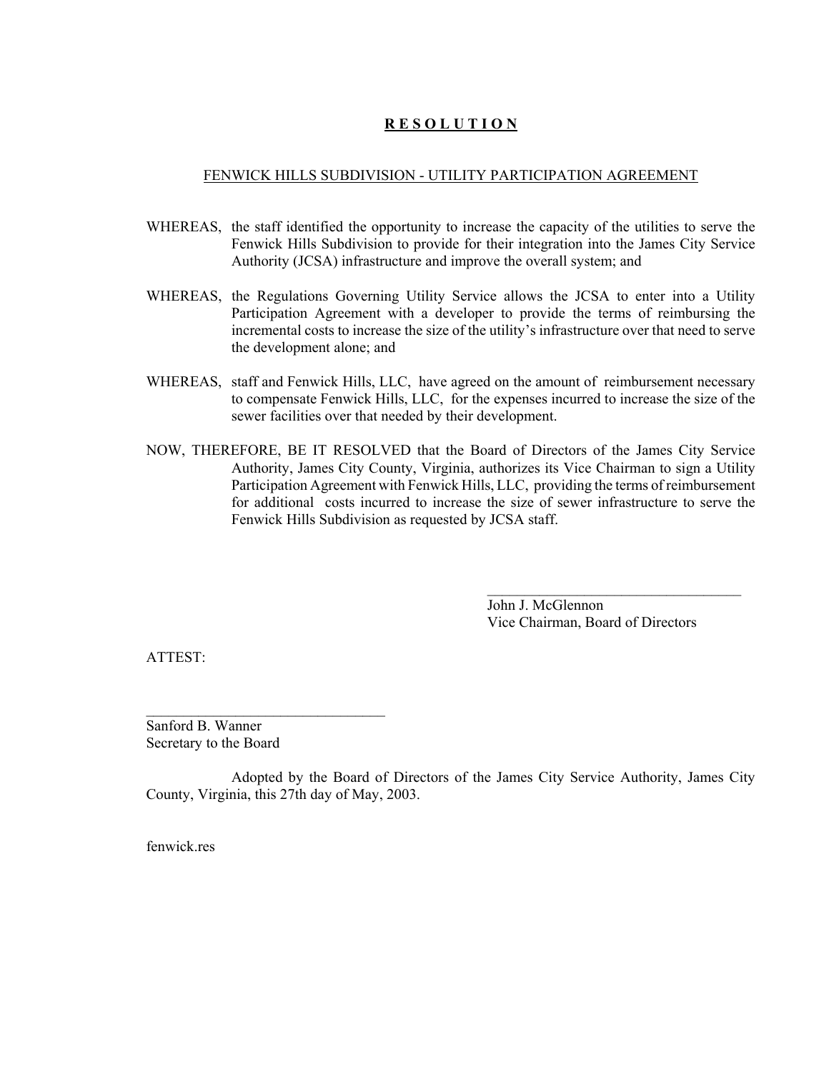# **R E S O L U T I O N**

#### FENWICK HILLS SUBDIVISION - UTILITY PARTICIPATION AGREEMENT

- WHEREAS, the staff identified the opportunity to increase the capacity of the utilities to serve the Fenwick Hills Subdivision to provide for their integration into the James City Service Authority (JCSA) infrastructure and improve the overall system; and
- WHEREAS, the Regulations Governing Utility Service allows the JCSA to enter into a Utility Participation Agreement with a developer to provide the terms of reimbursing the incremental costs to increase the size of the utility's infrastructure over that need to serve the development alone; and
- WHEREAS, staff and Fenwick Hills, LLC, have agreed on the amount of reimbursement necessary to compensate Fenwick Hills, LLC, for the expenses incurred to increase the size of the sewer facilities over that needed by their development.
- NOW, THEREFORE, BE IT RESOLVED that the Board of Directors of the James City Service Authority, James City County, Virginia, authorizes its Vice Chairman to sign a Utility Participation Agreement with Fenwick Hills, LLC, providing the terms of reimbursement for additional costs incurred to increase the size of sewer infrastructure to serve the Fenwick Hills Subdivision as requested by JCSA staff.

John J. McGlennon Vice Chairman, Board of Directors

 $\mathcal{L}_\text{max}$ 

ATTEST:

Sanford B. Wanner Secretary to the Board

Adopted by the Board of Directors of the James City Service Authority, James City County, Virginia, this 27th day of May, 2003.

fenwick.res